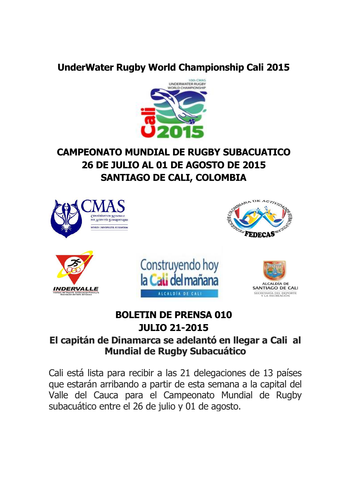### **UnderWater Rugby World Championship Cali 2015**



# **CAMPEONATO MUNDIAL DE RUGBY SUBACUATICO 26 DE JULIO AL 01 DE AGOSTO DE 2015 SANTIAGO DE CALI, COLOMBIA**



## **BOLETIN DE PRENSA 010 JULIO 21-2015**

#### **El capitán de Dinamarca se adelantó en llegar a Cali al Mundial de Rugby Subacuático**

Cali está lista para recibir a las 21 delegaciones de 13 países que estarán arribando a partir de esta semana a la capital del Valle del Cauca para el Campeonato Mundial de Rugby subacuático entre el 26 de julio y 01 de agosto.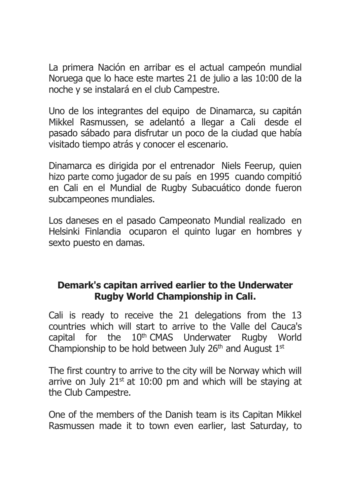La primera Nación en arribar es el actual campeón mundial Noruega que lo hace este martes 21 de julio a las 10:00 de la noche y se instalará en el club Campestre.

Uno de los integrantes del equipo de Dinamarca, su capitán Mikkel Rasmussen, se adelantó a llegar a Cali desde el pasado sábado para disfrutar un poco de la ciudad que había visitado tiempo atrás y conocer el escenario.

Dinamarca es dirigida por el entrenador Niels Feerup, quien hizo parte como jugador de su país en 1995 cuando compitió en Cali en el Mundial de Rugby Subacuático donde fueron subcampeones mundiales.

Los daneses en el pasado Campeonato Mundial realizado en Helsinki Finlandia ocuparon el quinto lugar en hombres y sexto puesto en damas.

### **Demark's capitan arrived earlier to the Underwater Rugby World Championship in Cali.**

Cali is ready to receive the 21 delegations from the 13 countries which will start to arrive to the Valle del Cauca's capital for the 10th CMAS Underwater Rugby World Championship to be hold between July 26<sup>th</sup> and August  $1<sup>st</sup>$ 

The first country to arrive to the city will be Norway which will arrive on July  $21^{st}$  at 10:00 pm and which will be staying at the Club Campestre.

One of the members of the Danish team is its Capitan Mikkel Rasmussen made it to town even earlier, last Saturday, to